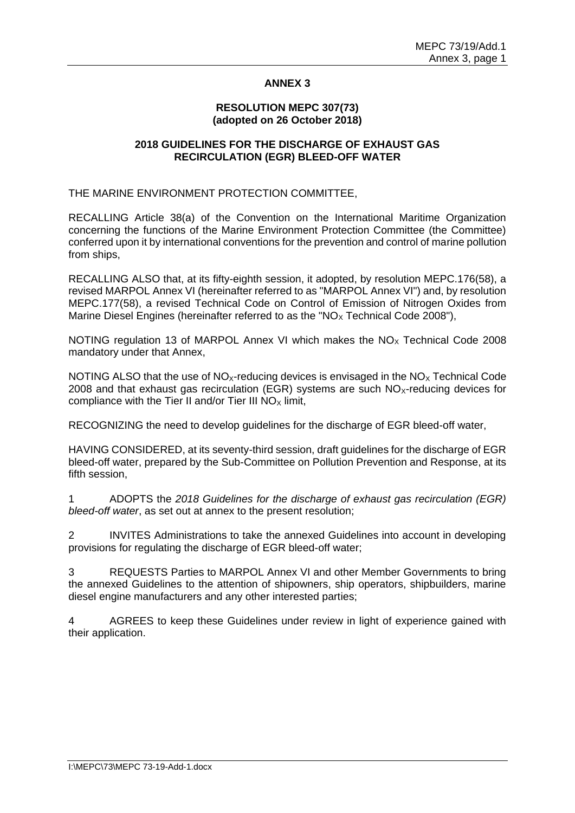# **ANNEX 3**

#### **RESOLUTION MEPC 307(73) (adopted on 26 October 2018)**

## **2018 GUIDELINES FOR THE DISCHARGE OF EXHAUST GAS RECIRCULATION (EGR) BLEED-OFF WATER**

THE MARINE ENVIRONMENT PROTECTION COMMITTEE,

RECALLING Article 38(a) of the Convention on the International Maritime Organization concerning the functions of the Marine Environment Protection Committee (the Committee) conferred upon it by international conventions for the prevention and control of marine pollution from ships,

RECALLING ALSO that, at its fifty-eighth session, it adopted, by resolution MEPC.176(58), a revised MARPOL Annex VI (hereinafter referred to as "MARPOL Annex VI") and, by resolution MEPC.177(58), a revised Technical Code on Control of Emission of Nitrogen Oxides from Marine Diesel Engines (hereinafter referred to as the "NO<sub>X</sub> Technical Code 2008"),

NOTING regulation 13 of MARPOL Annex VI which makes the  $NO<sub>x</sub>$  Technical Code 2008 mandatory under that Annex,

NOTING ALSO that the use of  $NO<sub>x</sub>$ -reducing devices is envisaged in the  $NO<sub>x</sub>$  Technical Code 2008 and that exhaust gas recirculation (EGR) systems are such  $NO<sub>X</sub>$ -reducing devices for compliance with the Tier II and/or Tier III  $NO<sub>x</sub>$  limit,

RECOGNIZING the need to develop guidelines for the discharge of EGR bleed-off water,

HAVING CONSIDERED, at its seventy-third session, draft guidelines for the discharge of EGR bleed-off water, prepared by the Sub-Committee on Pollution Prevention and Response, at its fifth session.

1 ADOPTS the *2018 Guidelines for the discharge of exhaust gas recirculation (EGR) bleed-off water*, as set out at annex to the present resolution;

2 INVITES Administrations to take the annexed Guidelines into account in developing provisions for regulating the discharge of EGR bleed-off water;

3 REQUESTS Parties to MARPOL Annex VI and other Member Governments to bring the annexed Guidelines to the attention of shipowners, ship operators, shipbuilders, marine diesel engine manufacturers and any other interested parties;

4 AGREES to keep these Guidelines under review in light of experience gained with their application.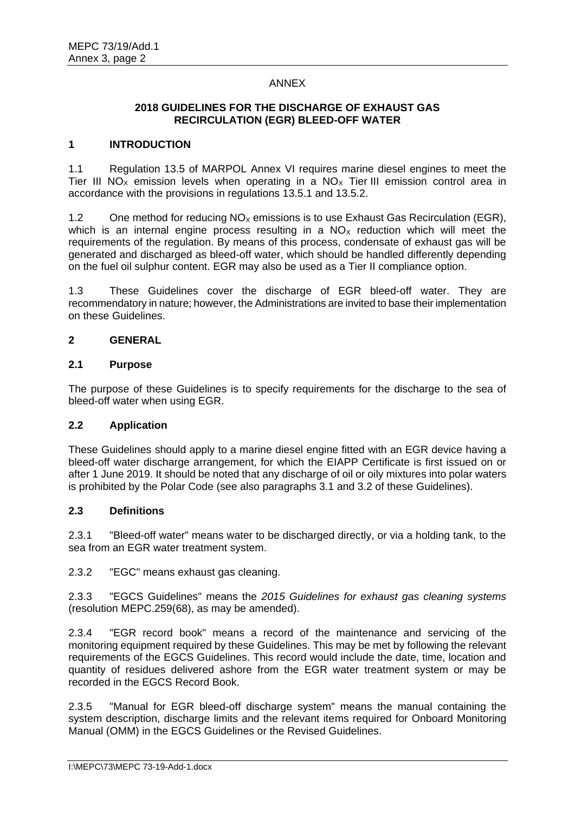## ANNEX

# **2018 GUIDELINES FOR THE DISCHARGE OF EXHAUST GAS RECIRCULATION (EGR) BLEED-OFF WATER**

### **1 INTRODUCTION**

1.1 Regulation 13.5 of MARPOL Annex VI requires marine diesel engines to meet the Tier III NO<sub>x</sub> emission levels when operating in a NO<sub>x</sub> Tier III emission control area in accordance with the provisions in regulations 13.5.1 and 13.5.2.

1.2 One method for reducing  $NO<sub>x</sub>$  emissions is to use Exhaust Gas Recirculation (EGR), which is an internal engine process resulting in a  $NO<sub>x</sub>$  reduction which will meet the requirements of the regulation. By means of this process, condensate of exhaust gas will be generated and discharged as bleed-off water, which should be handled differently depending on the fuel oil sulphur content. EGR may also be used as a Tier II compliance option.

1.3 These Guidelines cover the discharge of EGR bleed-off water. They are recommendatory in nature; however, the Administrations are invited to base their implementation on these Guidelines.

### **2 GENERAL**

### **2.1 Purpose**

The purpose of these Guidelines is to specify requirements for the discharge to the sea of bleed-off water when using EGR.

# **2.2 Application**

These Guidelines should apply to a marine diesel engine fitted with an EGR device having a bleed-off water discharge arrangement, for which the EIAPP Certificate is first issued on or after 1 June 2019. It should be noted that any discharge of oil or oily mixtures into polar waters is prohibited by the Polar Code (see also paragraphs 3.1 and 3.2 of these Guidelines).

#### **2.3 Definitions**

2.3.1 "Bleed-off water" means water to be discharged directly, or via a holding tank, to the sea from an EGR water treatment system.

2.3.2 "EGC" means exhaust gas cleaning.

2.3.3 "EGCS Guidelines" means the *2015 Guidelines for exhaust gas cleaning systems* (resolution MEPC.259(68), as may be amended).

2.3.4 "EGR record book" means a record of the maintenance and servicing of the monitoring equipment required by these Guidelines. This may be met by following the relevant requirements of the EGCS Guidelines. This record would include the date, time, location and quantity of residues delivered ashore from the EGR water treatment system or may be recorded in the EGCS Record Book.

2.3.5 "Manual for EGR bleed-off discharge system" means the manual containing the system description, discharge limits and the relevant items required for Onboard Monitoring Manual (OMM) in the EGCS Guidelines or the Revised Guidelines.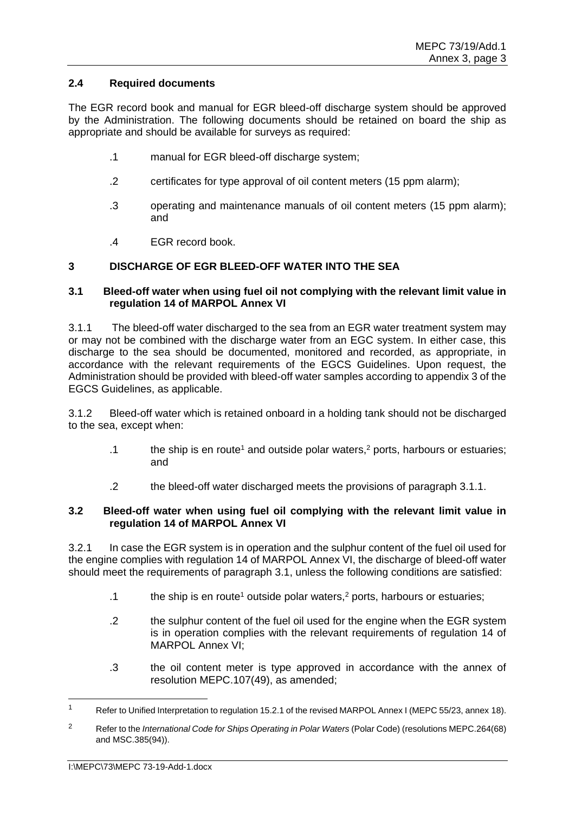## **2.4 Required documents**

The EGR record book and manual for EGR bleed-off discharge system should be approved by the Administration. The following documents should be retained on board the ship as appropriate and should be available for surveys as required:

- .1 manual for EGR bleed-off discharge system;
- .2 certificates for type approval of oil content meters (15 ppm alarm);
- .3 operating and maintenance manuals of oil content meters (15 ppm alarm); and
- .4 EGR record book.

# **3 DISCHARGE OF EGR BLEED-OFF WATER INTO THE SEA**

### **3.1 Bleed-off water when using fuel oil not complying with the relevant limit value in regulation 14 of MARPOL Annex VI**

3.1.1 The bleed-off water discharged to the sea from an EGR water treatment system may or may not be combined with the discharge water from an EGC system. In either case, this discharge to the sea should be documented, monitored and recorded, as appropriate, in accordance with the relevant requirements of the EGCS Guidelines. Upon request, the Administration should be provided with bleed-off water samples according to appendix 3 of the EGCS Guidelines, as applicable.

3.1.2 Bleed-off water which is retained onboard in a holding tank should not be discharged to the sea, except when:

- .1 the ship is en route<sup>1</sup> and outside polar waters,<sup>2</sup> ports, harbours or estuaries; and
- .2 the bleed-off water discharged meets the provisions of paragraph 3.1.1.

### **3.2 Bleed-off water when using fuel oil complying with the relevant limit value in regulation 14 of MARPOL Annex VI**

3.2.1 In case the EGR system is in operation and the sulphur content of the fuel oil used for the engine complies with regulation 14 of MARPOL Annex VI, the discharge of bleed-off water should meet the requirements of paragraph 3.1, unless the following conditions are satisfied:

- .1 the ship is en route<sup>1</sup> outside polar waters,<sup>2</sup> ports, harbours or estuaries;
- .2 the sulphur content of the fuel oil used for the engine when the EGR system is in operation complies with the relevant requirements of regulation 14 of MARPOL Annex VI;
- .3 the oil content meter is type approved in accordance with the annex of resolution MEPC.107(49), as amended;

-

<sup>&</sup>lt;sup>1</sup> Refer to Unified Interpretation to regulation 15.2.1 of the revised MARPOL Annex I (MEPC 55/23, annex 18).

<sup>2</sup> Refer to the *International Code for Ships Operating in Polar Waters* (Polar Code) (resolutions MEPC.264(68) and MSC.385(94)).